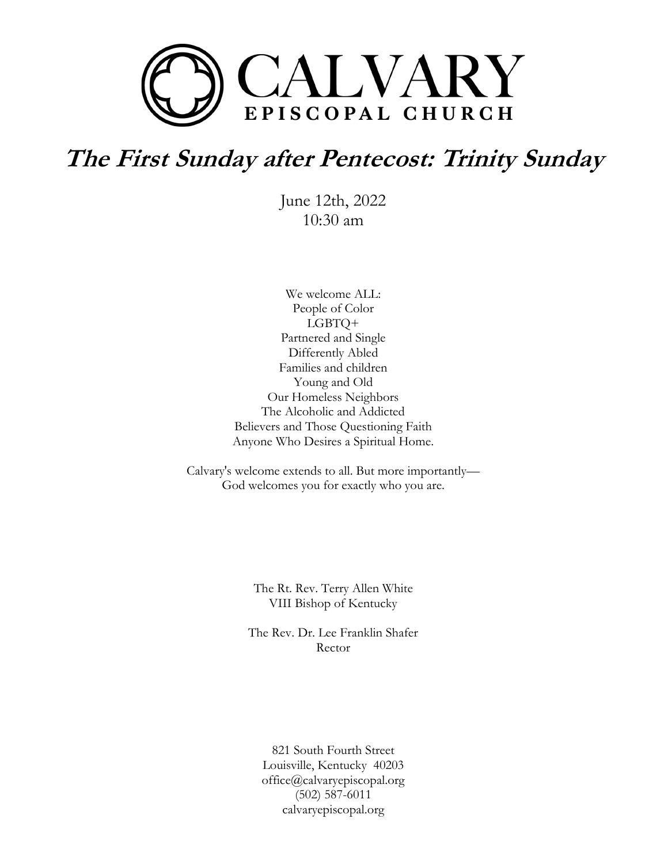

# **The First Sunday after Pentecost: Trinity Sunday**

June 12th, 2022 10:30 am

We welcome ALL: People of Color LGBTQ+ Partnered and Single Differently Abled Families and children Young and Old Our Homeless Neighbors The Alcoholic and Addicted Believers and Those Questioning Faith Anyone Who Desires a Spiritual Home.

Calvary's welcome extends to all. But more importantly— God welcomes you for exactly who you are.

> The Rt. Rev. Terry Allen White VIII Bishop of Kentucky

The Rev. Dr. Lee Franklin Shafer Rector

821 South Fourth Street Louisville, Kentucky 40203 office@calvaryepiscopal.org (502) 587-6011 calvaryepiscopal.org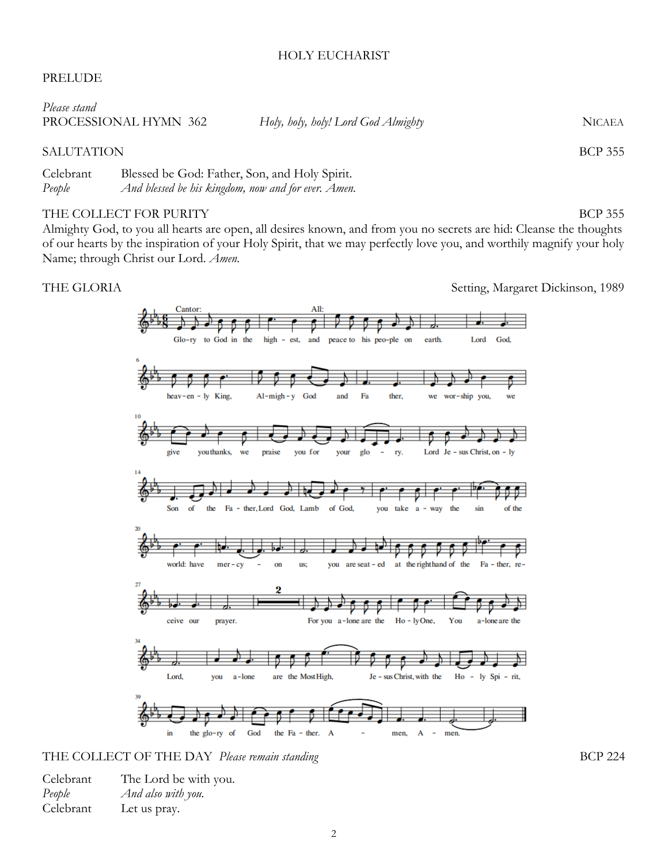### HOLY EUCHARIST

# PRELUDE

| Please stand          |                                     |               |
|-----------------------|-------------------------------------|---------------|
| PROCESSIONAL HYMN 362 | Holy, holy, holy! Lord God Almighty | <b>NICAEA</b> |
|                       |                                     |               |

# SALUTATION BCP 355

Celebrant Blessed be God: Father, Son, and Holy Spirit. *People And blessed be his kingdom, now and for ever. Amen.*

# THE COLLECT FOR PURITY SERVICES AND THE COLLECT FOR PURITY

Almighty God, to you all hearts are open, all desires known, and from you no secrets are hid: Cleanse the thoughts of our hearts by the inspiration of your Holy Spirit, that we may perfectly love you, and worthily magnify your holy Name; through Christ our Lord. *Amen.*

THE GLORIA Setting, Margaret Dickinson, 1989



THE COLLECT OF THE DAY *Please remain standing* BCP 224

| Celebrant | The Lord be with you. |
|-----------|-----------------------|
| People    | And also with you.    |
| Celebrant | Let us pray.          |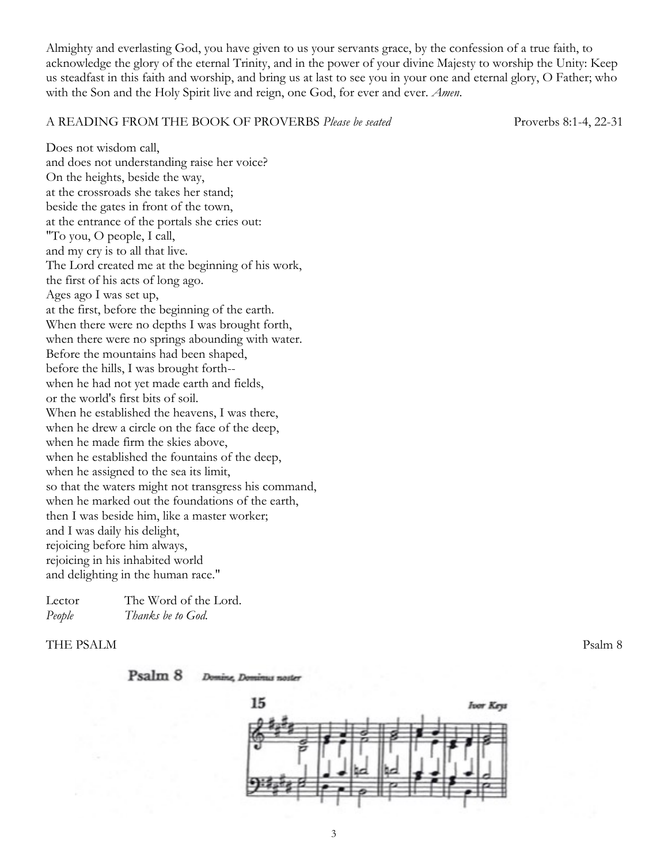Almighty and everlasting God, you have given to us your servants grace, by the confession of a true faith, to acknowledge the glory of the eternal Trinity, and in the power of your divine Majesty to worship the Unity: Keep us steadfast in this faith and worship, and bring us at last to see you in your one and eternal glory, O Father; who with the Son and the Holy Spirit live and reign, one God, for ever and ever. *Amen*.

#### A READING FROM THE BOOK OF PROVERBS *Please be seated* Proverbs 8:1-4, 22-31

Does not wisdom call. and does not understanding raise her voice? On the heights, beside the way, at the crossroads she takes her stand; beside the gates in front of the town, at the entrance of the portals she cries out: "To you, O people, I call, and my cry is to all that live. The Lord created me at the beginning of his work, the first of his acts of long ago. Ages ago I was set up, at the first, before the beginning of the earth. When there were no depths I was brought forth, when there were no springs abounding with water. Before the mountains had been shaped, before the hills, I was brought forth- when he had not yet made earth and fields, or the world's first bits of soil. When he established the heavens, I was there, when he drew a circle on the face of the deep, when he made firm the skies above, when he established the fountains of the deep, when he assigned to the sea its limit, so that the waters might not transgress his command, when he marked out the foundations of the earth, then I was beside him, like a master worker; and I was daily his delight, rejoicing before him always, rejoicing in his inhabited world and delighting in the human race."

| Lector | The Word of the Lord. |
|--------|-----------------------|
| People | Thanks be to God.     |

# THE PSALM Psalm 8



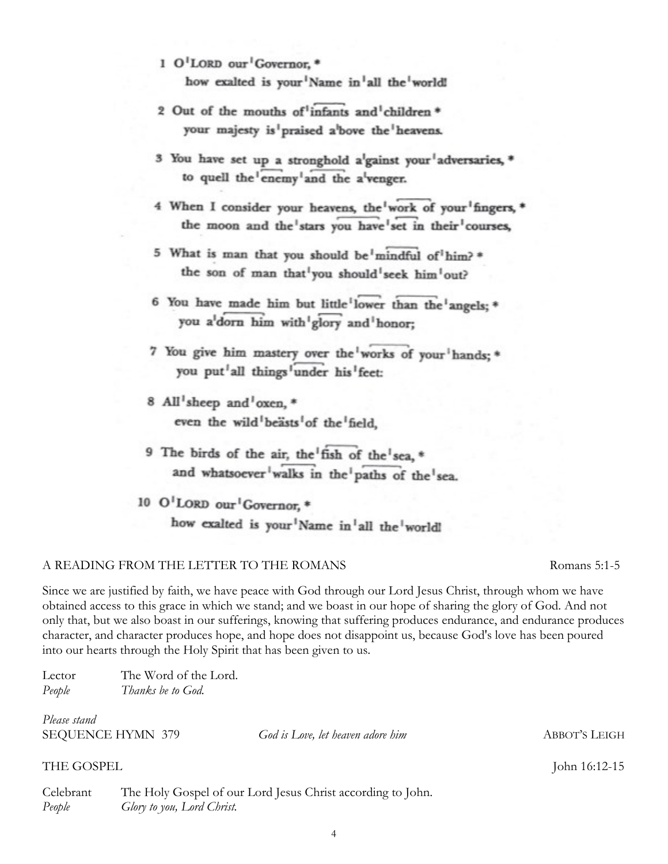- 1 O'LORD our Governor. \* how exalted is your<sup>1</sup>Name in<sup>1</sup>all the<sup>1</sup>world!
- 2 Out of the mouths of infants and children \* your majesty is praised a bove the heavens.
- 3 You have set up a stronghold a<sup>l</sup>gainst your<sup>1</sup>adversaries, \* to quell the enemy and the a venger.
- 4 When I consider your heavens, the work of your fingers, \* the moon and the stars you have set in their courses,
- 5 What is man that you should be mindful of him?\* the son of man that<sup>1</sup>you should<sup>1</sup>seek him<sup>1</sup>out?
- 6 You have made him but little lower than the angels: \* you a'dorn him with'glory and honor:
- 7 You give him mastery over the works of your hands; \* you put all things under his feet:
- 8 All'sheep and'oxen. \* even the wild beasts of the field.
- 9 The birds of the air, the fish of the sea, \* and whatsoever<sup>1</sup>walks in the<sup>1</sup>paths of the<sup>1</sup>sea.

10 O'LORD our Governor, \* how exalted is your<sup>1</sup>Name in<sup>1</sup>all the<sup>1</sup>worldl

# A READING FROM THE LETTER TO THE ROMANS Romans 5:1-5

Since we are justified by faith, we have peace with God through our Lord Jesus Christ, through whom we have obtained access to this grace in which we stand; and we boast in our hope of sharing the glory of God. And not only that, but we also boast in our sufferings, knowing that suffering produces endurance, and endurance produces character, and character produces hope, and hope does not disappoint us, because God's love has been poured into our hearts through the Holy Spirit that has been given to us.

| Lector | The Word of the Lord. |
|--------|-----------------------|
| People | Thanks be to God.     |

*Please stand*

SEQUENCE HYMN 379 *God is Love, let heaven adore him* ABBOT'S LEIGH

# THE GOSPEL John 16:12-15

Celebrant The Holy Gospel of our Lord Jesus Christ according to John. *People Glory to you, Lord Christ.*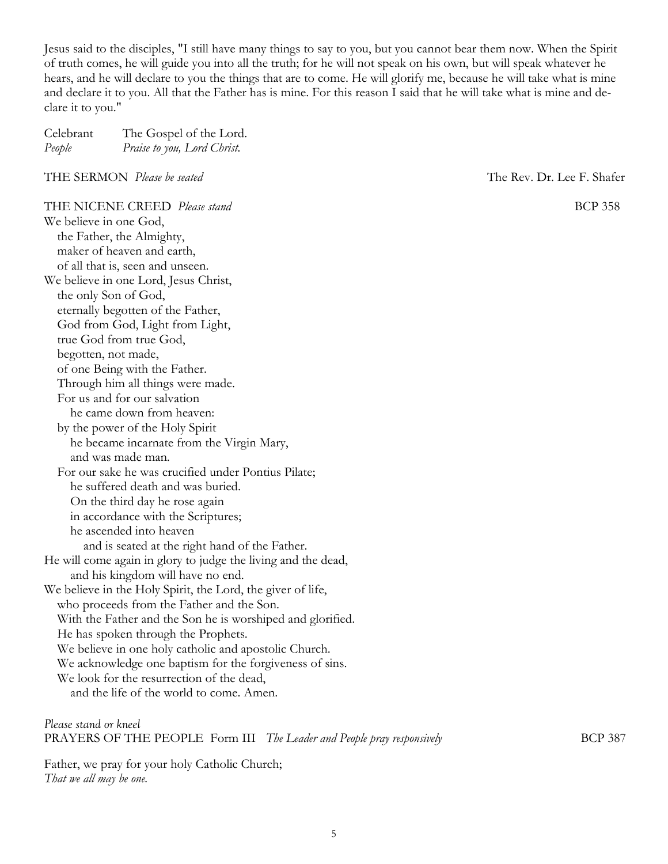Jesus said to the disciples, "I still have many things to say to you, but you cannot bear them now. When the Spirit of truth comes, he will guide you into all the truth; for he will not speak on his own, but will speak whatever he hears, and he will declare to you the things that are to come. He will glorify me, because he will take what is mine and declare it to you. All that the Father has is mine. For this reason I said that he will take what is mine and declare it to you."

| Celebrant | The Gospel of the Lord.     |
|-----------|-----------------------------|
| People    | Praise to you, Lord Christ. |

THE SERMON *Please be seated* The Rev. Dr. Lee F. Shafer

THE NICENE CREED *Please stand* BCP 358 We believe in one God, the Father, the Almighty, maker of heaven and earth, of all that is, seen and unseen. We believe in one Lord, Jesus Christ, the only Son of God, eternally begotten of the Father, God from God, Light from Light, true God from true God, begotten, not made, of one Being with the Father. Through him all things were made. For us and for our salvation he came down from heaven: by the power of the Holy Spirit he became incarnate from the Virgin Mary, and was made man. For our sake he was crucified under Pontius Pilate; he suffered death and was buried. On the third day he rose again in accordance with the Scriptures; he ascended into heaven and is seated at the right hand of the Father. He will come again in glory to judge the living and the dead, and his kingdom will have no end. We believe in the Holy Spirit, the Lord, the giver of life, who proceeds from the Father and the Son. With the Father and the Son he is worshiped and glorified. He has spoken through the Prophets. We believe in one holy catholic and apostolic Church. We acknowledge one baptism for the forgiveness of sins. We look for the resurrection of the dead, and the life of the world to come. Amen.

*Please stand or kneel* PRAYERS OF THE PEOPLE Form III *The Leader and People pray responsively* BCP 387

Father, we pray for your holy Catholic Church; *That we all may be one.*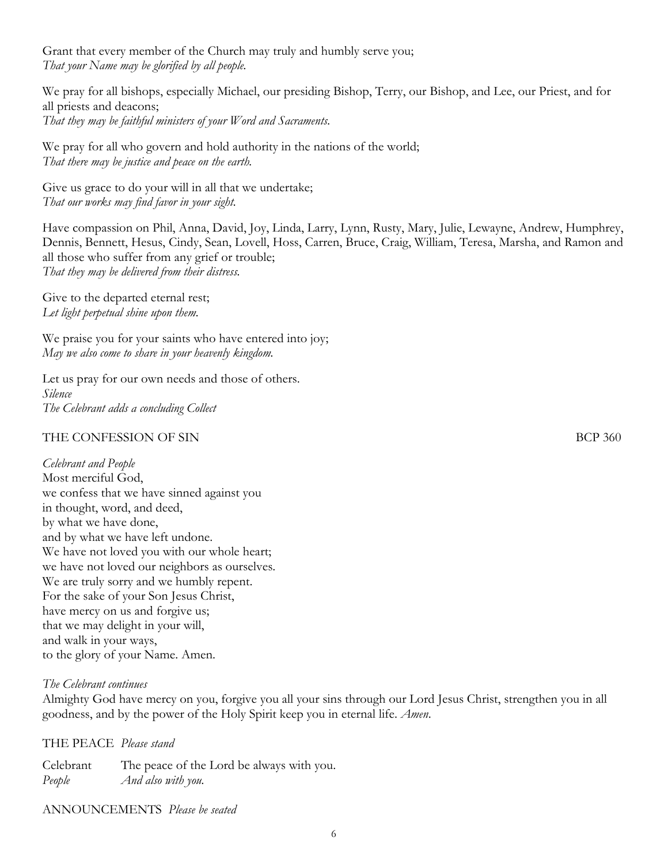Grant that every member of the Church may truly and humbly serve you; *That your Name may be glorified by all people.* 

We pray for all bishops, especially Michael, our presiding Bishop, Terry, our Bishop, and Lee, our Priest, and for all priests and deacons; *That they may be faithful ministers of your Word and Sacraments.* 

We pray for all who govern and hold authority in the nations of the world; *That there may be justice and peace on the earth.* 

Give us grace to do your will in all that we undertake; *That our works may find favor in your sight.* 

Have compassion on Phil, Anna, David, Joy, Linda, Larry, Lynn, Rusty, Mary, Julie, Lewayne, Andrew, Humphrey, Dennis, Bennett, Hesus, Cindy, Sean, Lovell, Hoss, Carren, Bruce, Craig, William, Teresa, Marsha, and Ramon and all those who suffer from any grief or trouble; *That they may be delivered from their distress.* 

Give to the departed eternal rest; *Let light perpetual shine upon them.* 

We praise you for your saints who have entered into joy; *May we also come to share in your heavenly kingdom.* 

Let us pray for our own needs and those of others. *Silence The Celebrant adds a concluding Collect* 

# THE CONFESSION OF SIN BCP 360

*Celebrant and People* Most merciful God, we confess that we have sinned against you in thought, word, and deed, by what we have done, and by what we have left undone. We have not loved you with our whole heart; we have not loved our neighbors as ourselves. We are truly sorry and we humbly repent. For the sake of your Son Jesus Christ, have mercy on us and forgive us; that we may delight in your will, and walk in your ways, to the glory of your Name. Amen.

# *The Celebrant continues*

Almighty God have mercy on you, forgive you all your sins through our Lord Jesus Christ, strengthen you in all goodness, and by the power of the Holy Spirit keep you in eternal life. *Amen*.

THE PEACE *Please stand*

Celebrant The peace of the Lord be always with you. *People And also with you.*

# ANNOUNCEMENTS *Please be seated*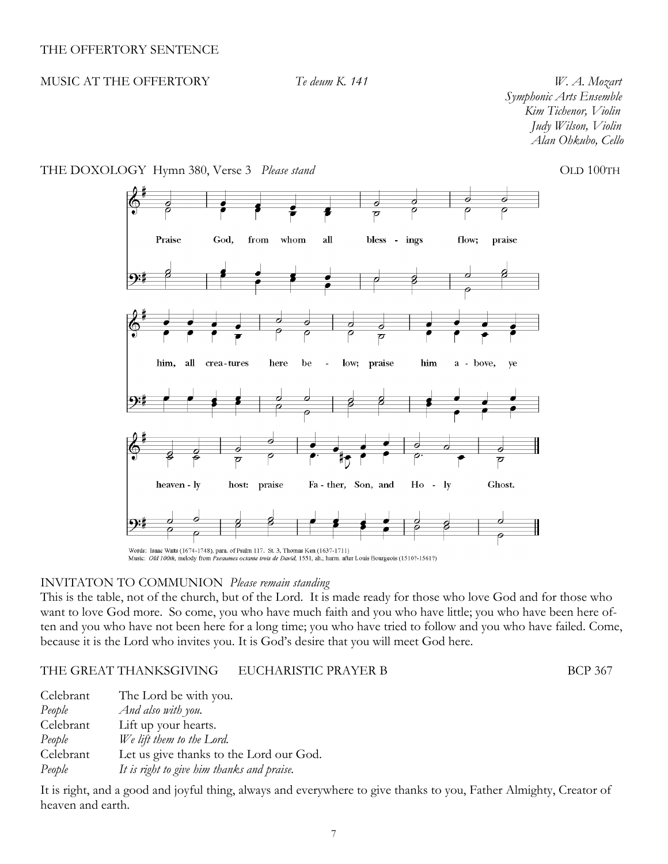# MUSIC AT THE OFFERTORY *Te deum K. 141 W. A. Mozart*

 *Symphonic Arts Ensemble Kim Tichenor, Violin Judy Wilson, Violin Alan Ohkubo, Cello*



## THE DOXOLOGY Hymn 380, Verse 3 *Please stand* CLD 100TH

Music: Old 100th, melody from Pseaumes octante trois de David, 1551, alt.; harm. after Louis Bourgeois (1510?-1561?)

## INVITATON TO COMMUNION *Please remain standing*

This is the table, not of the church, but of the Lord. It is made ready for those who love God and for those who want to love God more. So come, you who have much faith and you who have little; you who have been here often and you who have not been here for a long time; you who have tried to follow and you who have failed. Come, because it is the Lord who invites you. It is God's desire that you will meet God here.

#### THE GREAT THANKSGIVING EUCHARISTIC PRAYER B BCP 367

Celebrant The Lord be with you. *People And also with you.* Celebrant Lift up your hearts. *People We lift them to the Lord.* Celebrant Let us give thanks to the Lord our God. *People It is right to give him thanks and praise.*

It is right, and a good and joyful thing, always and everywhere to give thanks to you, Father Almighty, Creator of heaven and earth.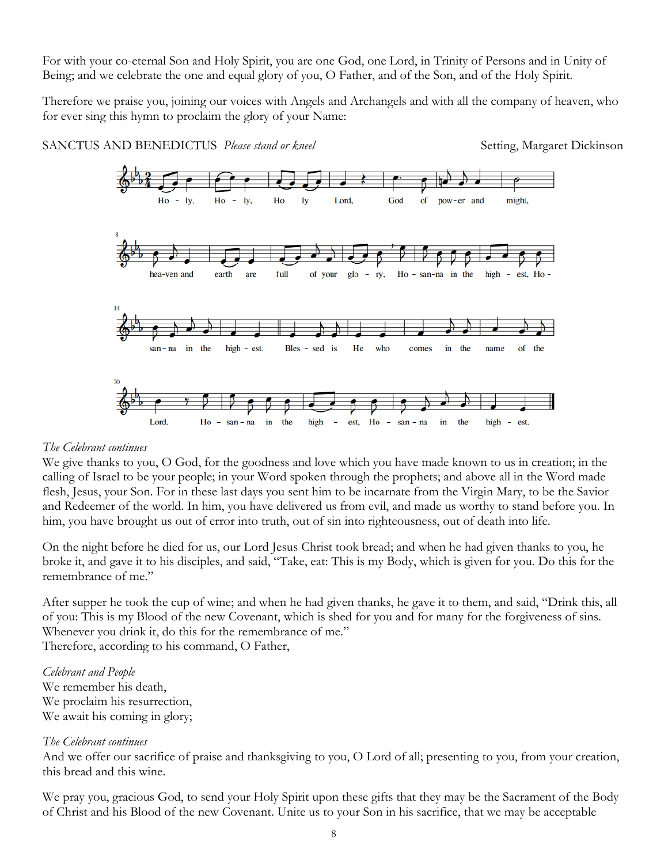For with your co-eternal Son and Holy Spirit, you are one God, one Lord, in Trinity of Persons and in Unity of Being; and we celebrate the one and equal glory of you, O Father, and of the Son, and of the Holy Spirit.

Therefore we praise you, joining our voices with Angels and Archangels and with all the company of heaven, who for ever sing this hymn to proclaim the glory of your Name:



# SANCTUS AND BENEDICTUS *Please stand or kneel* Setting, Margaret Dickinson

# *The Celebrant continues*

We give thanks to you, O God, for the goodness and love which you have made known to us in creation; in the calling of Israel to be your people; in your Word spoken through the prophets; and above all in the Word made flesh, Jesus, your Son. For in these last days you sent him to be incarnate from the Virgin Mary, to be the Savior and Redeemer of the world. In him, you have delivered us from evil, and made us worthy to stand before you. In him, you have brought us out of error into truth, out of sin into righteousness, out of death into life.

On the night before he died for us, our Lord Jesus Christ took bread; and when he had given thanks to you, he broke it, and gave it to his disciples, and said, "Take, eat: This is my Body, which is given for you. Do this for the remembrance of me."

After supper he took the cup of wine; and when he had given thanks, he gave it to them, and said, "Drink this, all of you: This is my Blood of the new Covenant, which is shed for you and for many for the forgiveness of sins. Whenever you drink it, do this for the remembrance of me." Therefore, according to his command, O Father,

*Celebrant and People* We remember his death, We proclaim his resurrection, We await his coming in glory;

# *The Celebrant continues*

And we offer our sacrifice of praise and thanksgiving to you, O Lord of all; presenting to you, from your creation, this bread and this wine.

We pray you, gracious God, to send your Holy Spirit upon these gifts that they may be the Sacrament of the Body of Christ and his Blood of the new Covenant. Unite us to your Son in his sacrifice, that we may be acceptable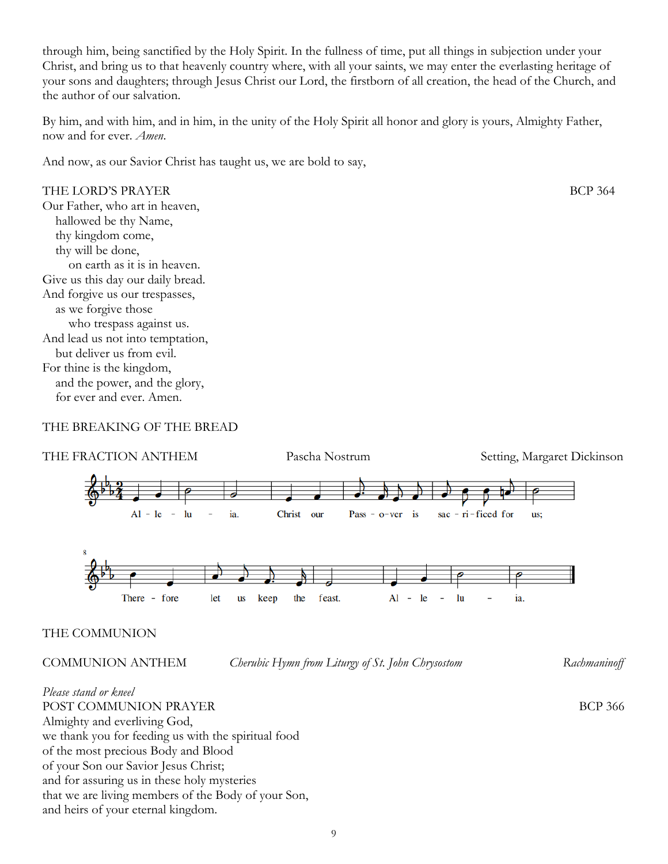through him, being sanctified by the Holy Spirit. In the fullness of time, put all things in subjection under your Christ, and bring us to that heavenly country where, with all your saints, we may enter the everlasting heritage of your sons and daughters; through Jesus Christ our Lord, the firstborn of all creation, the head of the Church, and the author of our salvation.

By him, and with him, and in him, in the unity of the Holy Spirit all honor and glory is yours, Almighty Father, now and for ever. *Amen*.

And now, as our Savior Christ has taught us, we are bold to say,

THE LORD'S PRAYER BCP 364 Our Father, who art in heaven, hallowed be thy Name, thy kingdom come, thy will be done, on earth as it is in heaven. Give us this day our daily bread. And forgive us our trespasses, as we forgive those who trespass against us. And lead us not into temptation, but deliver us from evil. For thine is the kingdom, and the power, and the glory, for ever and ever. Amen.

# THE BREAKING OF THE BREAD



# THE COMMUNION

COMMUNION ANTHEM *Cherubic Hymn from Liturgy of St. John Chrysostom Rachmaninoff*

*Please stand or kneel* POST COMMUNION PRAYER BCP 366 Almighty and everliving God, we thank you for feeding us with the spiritual food of the most precious Body and Blood of your Son our Savior Jesus Christ; and for assuring us in these holy mysteries that we are living members of the Body of your Son, and heirs of your eternal kingdom.

9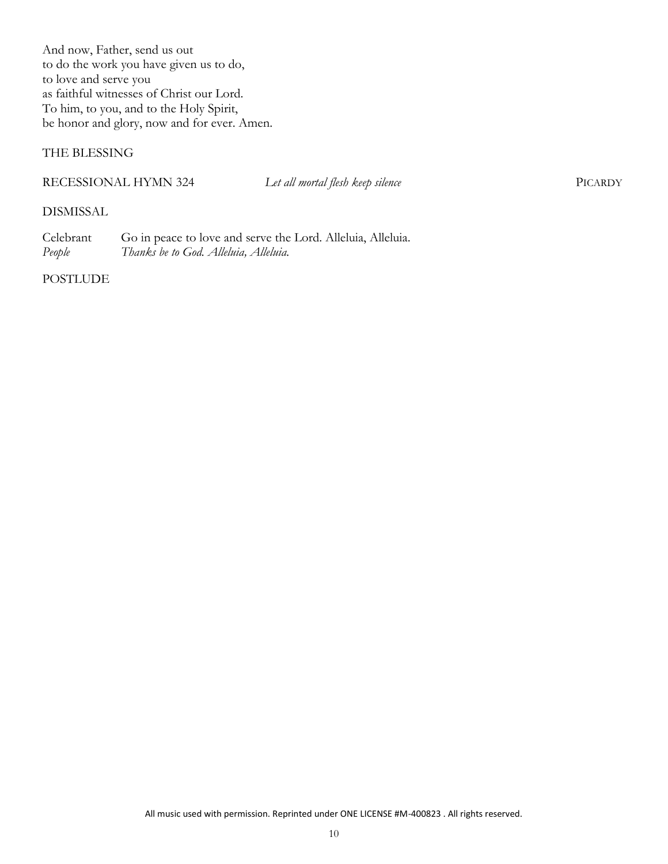And now, Father, send us out to do the work you have given us to do, to love and serve you as faithful witnesses of Christ our Lord. To him, to you, and to the Holy Spirit, be honor and glory, now and for ever. Amen.

# THE BLESSING

## RECESSIONAL HYMN 324 *Let all mortal flesh keep silence* PICARDY

# DISMISSAL

Celebrant Go in peace to love and serve the Lord. Alleluia, Alleluia. *People Thanks be to God. Alleluia, Alleluia.*

POSTLUDE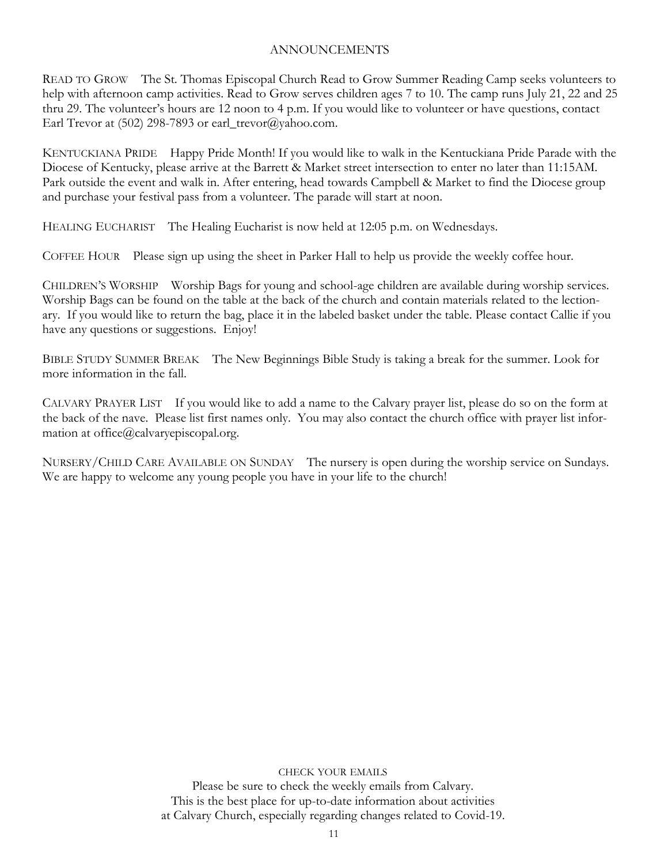# ANNOUNCEMENTS

READ TO GROW The St. Thomas Episcopal Church Read to Grow Summer Reading Camp seeks volunteers to help with afternoon camp activities. Read to Grow serves children ages 7 to 10. The camp runs July 21, 22 and 25 thru 29. The volunteer's hours are 12 noon to 4 p.m. If you would like to volunteer or have questions, contact Earl Trevor at (502) 298-7893 or earl\_trevor@yahoo.com.

KENTUCKIANA PRIDE Happy Pride Month! If you would like to walk in the Kentuckiana Pride Parade with the Diocese of Kentucky, please arrive at the Barrett & Market street intersection to enter no later than 11:15AM. Park outside the event and walk in. After entering, head towards Campbell & Market to find the Diocese group and purchase your festival pass from a volunteer. The parade will start at noon.

HEALING EUCHARIST The Healing Eucharist is now held at 12:05 p.m. on Wednesdays.

COFFEE HOUR Please sign up using the sheet in Parker Hall to help us provide the weekly coffee hour.

CHILDREN'S WORSHIP Worship Bags for young and school-age children are available during worship services. Worship Bags can be found on the table at the back of the church and contain materials related to the lectionary. If you would like to return the bag, place it in the labeled basket under the table. Please contact Callie if you have any questions or suggestions. Enjoy!

BIBLE STUDY SUMMER BREAK The New Beginnings Bible Study is taking a break for the summer. Look for more information in the fall.

CALVARY PRAYER LIST If you would like to add a name to the Calvary prayer list, please do so on the form at the back of the nave. Please list first names only. You may also contact the church office with prayer list information at office@calvaryepiscopal.org.

NURSERY/CHILD CARE AVAILABLE ON SUNDAY The nursery is open during the worship service on Sundays. We are happy to welcome any young people you have in your life to the church!

CHECK YOUR EMAILS

Please be sure to check the weekly emails from Calvary. This is the best place for up-to-date information about activities at Calvary Church, especially regarding changes related to Covid-19.